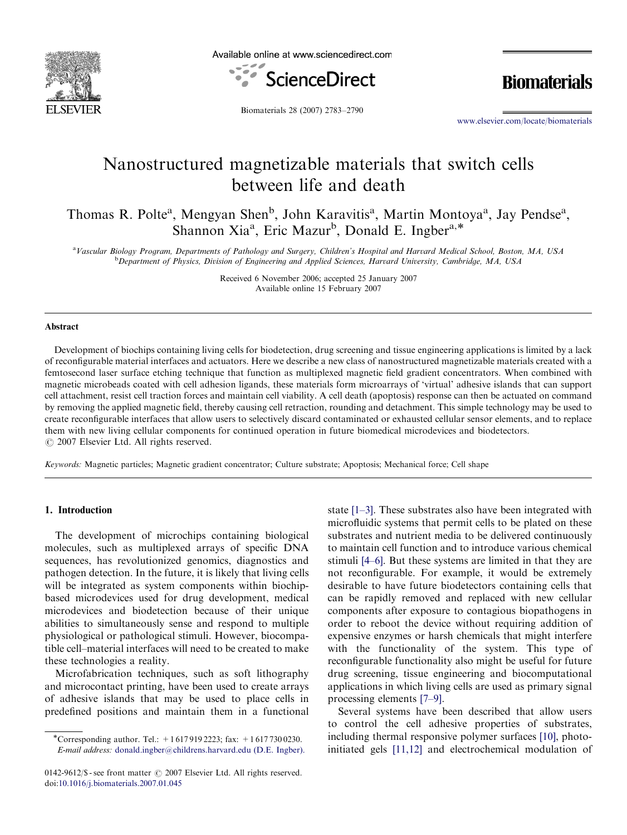

Available online at www.sciencedirect.com



**Biomaterials** 

Biomaterials 28 (2007) 2783–2790

<www.elsevier.com/locate/biomaterials>

# Nanostructured magnetizable materials that switch cells between life and death

Thomas R. Polte<sup>a</sup>, Mengyan Shen<sup>b</sup>, John Karavitis<sup>a</sup>, Martin Montoya<sup>a</sup>, Jay Pendse<sup>a</sup>, shannon Xia<sup>a</sup>, Eric Mazur<sup>b</sup>, Donald E. Ingber<sup>a,\*</sup>

a Vascular Biology Program, Departments of Pathology and Surgery, Children's Hospital and Harvard Medical School, Boston, MA, USA <sup>b</sup> Department of Physics, Division of Engineering and Applied Sciences, Harvard University, Cambridge, MA, USA

> Received 6 November 2006; accepted 25 January 2007 Available online 15 February 2007

#### Abstract

Development of biochips containing living cells for biodetection, drug screening and tissue engineering applications is limited by a lack of reconfigurable material interfaces and actuators. Here we describe a new class of nanostructured magnetizable materials created with a femtosecond laser surface etching technique that function as multiplexed magnetic field gradient concentrators. When combined with magnetic microbeads coated with cell adhesion ligands, these materials form microarrays of 'virtual' adhesive islands that can support cell attachment, resist cell traction forces and maintain cell viability. A cell death (apoptosis) response can then be actuated on command by removing the applied magnetic field, thereby causing cell retraction, rounding and detachment. This simple technology may be used to create reconfigurable interfaces that allow users to selectively discard contaminated or exhausted cellular sensor elements, and to replace them with new living cellular components for continued operation in future biomedical microdevices and biodetectors.  $\odot$  2007 Elsevier Ltd. All rights reserved.

Keywords: Magnetic particles; Magnetic gradient concentrator; Culture substrate; Apoptosis; Mechanical force; Cell shape

#### 1. Introduction

The development of microchips containing biological molecules, such as multiplexed arrays of specific DNA sequences, has revolutionized genomics, diagnostics and pathogen detection. In the future, it is likely that living cells will be integrated as system components within biochipbased microdevices used for drug development, medical microdevices and biodetection because of their unique abilities to simultaneously sense and respond to multiple physiological or pathological stimuli. However, biocompatible cell–material interfaces will need to be created to make these technologies a reality.

Microfabrication techniques, such as soft lithography and microcontact printing, have been used to create arrays of adhesive islands that may be used to place cells in predefined positions and maintain them in a functional state [\[1–3\].](#page-6-0) These substrates also have been integrated with microfluidic systems that permit cells to be plated on these substrates and nutrient media to be delivered continuously to maintain cell function and to introduce various chemical stimuli [\[4–6\].](#page-6-0) But these systems are limited in that they are not reconfigurable. For example, it would be extremely desirable to have future biodetectors containing cells that can be rapidly removed and replaced with new cellular components after exposure to contagious biopathogens in order to reboot the device without requiring addition of expensive enzymes or harsh chemicals that might interfere with the functionality of the system. This type of reconfigurable functionality also might be useful for future drug screening, tissue engineering and biocomputational applications in which living cells are used as primary signal processing elements [\[7–9\].](#page-7-0)

Several systems have been described that allow users to control the cell adhesive properties of substrates, including thermal responsive polymer surfaces [\[10\]](#page-7-0), photoinitiated gels [\[11,12\]](#page-7-0) and electrochemical modulation of

<sup>\*</sup>Corresponding author. Tel.: +16179192223; fax: +16177300230. E-mail address: [donald.ingber@childrens.harvard.edu \(D.E. Ingber\).](mailto:donald.ingber@childrens.harvard.edu)

<sup>0142-9612/\$ -</sup> see front matter  $\odot$  2007 Elsevier Ltd. All rights reserved. doi:[10.1016/j.biomaterials.2007.01.045](dx.doi.org/10.1016/j.biomaterials.2007.01.045)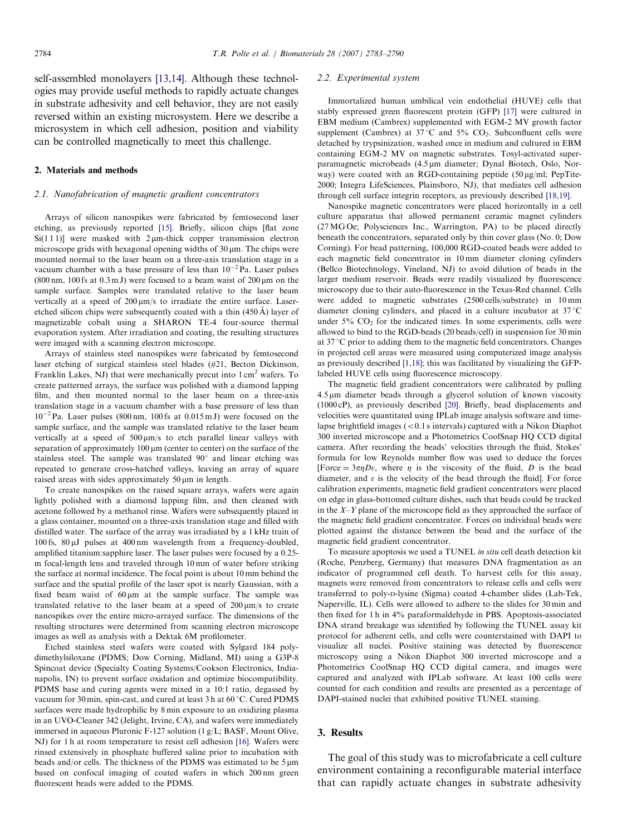self-assembled monolayers [\[13,14\].](#page-7-0) Although these technologies may provide useful methods to rapidly actuate changes in substrate adhesivity and cell behavior, they are not easily reversed within an existing microsystem. Here we describe a microsystem in which cell adhesion, position and viability can be controlled magnetically to meet this challenge.

#### 2. Materials and methods

#### 2.1. Nanofabrication of magnetic gradient concentrators

Arrays of silicon nanospikes were fabricated by femtosecond laser etching, as previously reported [\[15\]](#page-7-0). Briefly, silicon chips [flat zone  $Si(111)$ ] were masked with  $2 \mu$ m-thick copper transmission electron microscope grids with hexagonal opening widths of  $30 \,\mu \text{m}$ . The chips were mounted normal to the laser beam on a three-axis translation stage in a vacuum chamber with a base pressure of less than  $10^{-2}$  Pa. Laser pulses (800 nm, 100 fs at  $(0.3 \text{ mJ})$ ) were focused to a beam waist of  $200 \mu \text{m}$  on the sample surface. Samples were translated relative to the laser beam vertically at a speed of  $200 \mu m/s$  to irradiate the entire surface. Laseretched silicon chips were subsequently coated with a thin  $(450 \text{ Å})$  layer of magnetizable cobalt using a SHARON TE-4 four-source thermal evaporation system. After irradiation and coating, the resulting structures were imaged with a scanning electron microscope.

Arrays of stainless steel nanospikes were fabricated by femtosecond laser etching of surgical stainless steel blades (#21, Becton Dickinson, Franklin Lakes, NJ) that were mechanically precut into  $1 \text{ cm}^2$  wafers. To create patterned arrays, the surface was polished with a diamond lapping film, and then mounted normal to the laser beam on a three-axis translation stage in a vacuum chamber with a base pressure of less than  $10^{-2}$  Pa. Laser pulses (800 nm, 100 fs at 0.015 mJ) were focused on the sample surface, and the sample was translated relative to the laser beam vertically at a speed of 500  $\mu$ m/s to etch parallel linear valleys with separation of approximately  $100 \mu m$  (center to center) on the surface of the stainless steel. The sample was translated  $90^{\circ}$  and linear etching was repeated to generate cross-hatched valleys, leaving an array of square raised areas with sides approximately 50  $\mu$ m in length.

To create nanospikes on the raised square arrays, wafers were again lightly polished with a diamond lapping film, and then cleaned with acetone followed by a methanol rinse. Wafers were subsequently placed in a glass container, mounted on a three-axis translation stage and filled with distilled water. The surface of the array was irradiated by a 1 kHz train of  $100$  fs,  $80 \mu J$  pulses at  $400 \text{ nm}$  wavelength from a frequency-doubled, amplified titanium:sapphire laser. The laser pulses were focused by a 0.25 m focal-length lens and traveled through 10 mm of water before striking the surface at normal incidence. The focal point is about 10 mm behind the surface and the spatial profile of the laser spot is nearly Gaussian, with a fixed beam waist of  $60 \mu m$  at the sample surface. The sample was translated relative to the laser beam at a speed of  $200 \mu m/s$  to create nanospikes over the entire micro-arrayed surface. The dimensions of the resulting structures were determined from scanning electron microscope images as well as analysis with a Dektak 6M profilometer.

Etched stainless steel wafers were coated with Sylgard 184 polydimethylsiloxane (PDMS; Dow Corning, Midland, MI) using a G3P-8 Spincoat device (Specialty Coating Systems/Cookson Electronics, Indianapolis, IN) to prevent surface oxidation and optimize biocompatibility. PDMS base and curing agents were mixed in a 10:1 ratio, degassed by vacuum for 30 min, spin-cast, and cured at least 3 h at 60 °C. Cured PDMS surfaces were made hydrophilic by 8 min exposure to an oxidizing plasma in an UVO-Cleaner 342 (Jelight, Irvine, CA), and wafers were immediately immersed in aqueous Pluronic F-127 solution (1 g/L; BASF, Mount Olive, NJ) for 1 h at room temperature to resist cell adhesion [\[16\]](#page-7-0). Wafers were rinsed extensively in phosphate buffered saline prior to incubation with beads and/or cells. The thickness of the PDMS was estimated to be  $5 \mu m$ based on confocal imaging of coated wafers in which 200 nm green fluorescent beads were added to the PDMS.

#### 2.2. Experimental system

Immortalized human umbilical vein endothelial (HUVE) cells that stably expressed green fluorescent protein (GFP) [\[17\]](#page-7-0) were cultured in EBM medium (Cambrex) supplemented with EGM-2 MV growth factor supplement (Cambrex) at  $37^{\circ}$ C and  $5\%$  CO<sub>2</sub>. Subconfluent cells were detached by trypsinization, washed once in medium and cultured in EBM containing EGM-2 MV on magnetic substrates. Tosyl-activated superparamagnetic microbeads (4.5 µm diameter; Dynal Biotech, Oslo, Norway) were coated with an RGD-containing peptide  $(50 \,\mu\text{g/ml}; \text{PepTite-}$ 2000; Integra LifeSciences, Plainsboro, NJ), that mediates cell adhesion through cell surface integrin receptors, as previously described [\[18,19\]](#page-7-0).

Nanospike magnetic concentrators were placed horizontally in a cell culture apparatus that allowed permanent ceramic magnet cylinders (27MG Oe; Polysciences Inc., Warrington, PA) to be placed directly beneath the concentrators, separated only by thin cover glass (No. 0; Dow Corning). For bead patterning, 100,000 RGD-coated beads were added to each magnetic field concentrator in 10 mm diameter cloning cylinders (Bellco Biotechnology, Vineland, NJ) to avoid dilution of beads in the larger medium reservoir. Beads were readily visualized by fluorescence microscopy due to their auto-fluorescence in the Texas-Red channel. Cells were added to magnetic substrates (2500 cells/substrate) in 10 mm diameter cloning cylinders, and placed in a culture incubator at  $37^{\circ}$ C under  $5\%$   $CO<sub>2</sub>$  for the indicated times. In some experiments, cells were allowed to bind to the RGD-beads (20 beads/cell) in suspension for 30 min at  $37^{\circ}$ C prior to adding them to the magnetic field concentrators. Changes in projected cell areas were measured using computerized image analysis as previously described [\[1,18\]](#page-6-0); this was facilitated by visualizing the GFPlabeled HUVE cells using fluorescence microscopy.

The magnetic field gradient concentrators were calibrated by pulling  $4.5 \mu m$  diameter beads through a glycerol solution of known viscosity (1000 cP), as previously described [\[20\]](#page-7-0). Briefly, bead displacements and velocities were quantitated using IPLab image analysis software and timelapse brightfield images  $\left($  < 0.1 s intervals) captured with a Nikon Diaphot 300 inverted microscope and a Photometrics CoolSnap HQ CCD digital camera. After recording the beads' velocities through the fluid, Stokes' formula for low Reynolds number flow was used to deduce the forces [Force =  $3\pi\eta Dv$ , where  $\eta$  is the viscosity of the fluid, D is the bead diameter, and  $v$  is the velocity of the bead through the fluid]. For force calibration experiments, magnetic field gradient concentrators were placed on edge in glass-bottomed culture dishes, such that beads could be tracked in the  $X-Y$  plane of the microscope field as they approached the surface of the magnetic field gradient concentrator. Forces on individual beads were plotted against the distance between the bead and the surface of the magnetic field gradient concentrator.

To measure apoptosis we used a TUNEL in situ cell death detection kit (Roche, Penzberg, Germany) that measures DNA fragmentation as an indicator of programmed cell death. To harvest cells for this assay, magnets were removed from concentrators to release cells and cells were transferred to poly-D-lysine (Sigma) coated 4-chamber slides (Lab-Tek, Naperville, IL). Cells were allowed to adhere to the slides for 30 min and then fixed for 1 h in 4% paraformaldehyde in PBS. Apoptosis-associated DNA strand breakage was identified by following the TUNEL assay kit protocol for adherent cells, and cells were counterstained with DAPI to visualize all nuclei. Positive staining was detected by fluorescence microscopy using a Nikon Diaphot 300 inverted microscope and a Photometrics CoolSnap HQ CCD digital camera, and images were captured and analyzed with IPLab software. At least 100 cells were counted for each condition and results are presented as a percentage of DAPI-stained nuclei that exhibited positive TUNEL staining.

#### 3. Results

The goal of this study was to microfabricate a cell culture environment containing a reconfigurable material interface that can rapidly actuate changes in substrate adhesivity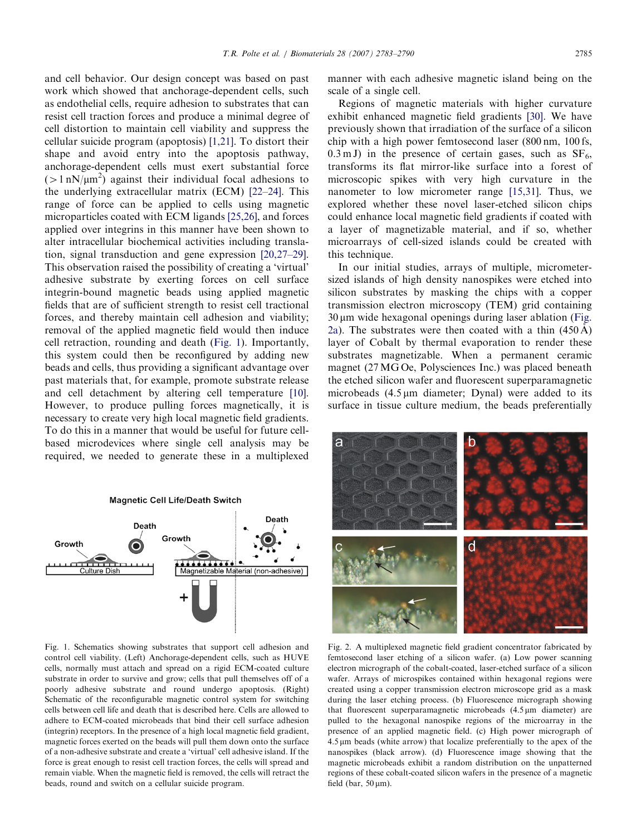<span id="page-2-0"></span>and cell behavior. Our design concept was based on past work which showed that anchorage-dependent cells, such as endothelial cells, require adhesion to substrates that can resist cell traction forces and produce a minimal degree of cell distortion to maintain cell viability and suppress the cellular suicide program (apoptosis) [\[1,21\]](#page-6-0). To distort their shape and avoid entry into the apoptosis pathway, anchorage-dependent cells must exert substantial force  $(1 + 1)$  nN/ $\mu$ m<sup>2</sup>) against their individual focal adhesions to the underlying extracellular matrix (ECM) [\[22–24\]](#page-7-0). This range of force can be applied to cells using magnetic microparticles coated with ECM ligands [\[25,26\]](#page-7-0), and forces applied over integrins in this manner have been shown to alter intracellular biochemical activities including translation, signal transduction and gene expression [\[20,27–29\].](#page-7-0) This observation raised the possibility of creating a 'virtual' adhesive substrate by exerting forces on cell surface integrin-bound magnetic beads using applied magnetic fields that are of sufficient strength to resist cell tractional forces, and thereby maintain cell adhesion and viability; removal of the applied magnetic field would then induce cell retraction, rounding and death (Fig. 1). Importantly, this system could then be reconfigured by adding new beads and cells, thus providing a significant advantage over past materials that, for example, promote substrate release and cell detachment by altering cell temperature [\[10\].](#page-7-0) However, to produce pulling forces magnetically, it is necessary to create very high local magnetic field gradients. To do this in a manner that would be useful for future cellbased microdevices where single cell analysis may be required, we needed to generate these in a multiplexed



Fig. 1. Schematics showing substrates that support cell adhesion and control cell viability. (Left) Anchorage-dependent cells, such as HUVE cells, normally must attach and spread on a rigid ECM-coated culture substrate in order to survive and grow; cells that pull themselves off of a poorly adhesive substrate and round undergo apoptosis. (Right) Schematic of the reconfigurable magnetic control system for switching cells between cell life and death that is described here. Cells are allowed to adhere to ECM-coated microbeads that bind their cell surface adhesion (integrin) receptors. In the presence of a high local magnetic field gradient, magnetic forces exerted on the beads will pull them down onto the surface of a non-adhesive substrate and create a 'virtual' cell adhesive island. If the force is great enough to resist cell traction forces, the cells will spread and remain viable. When the magnetic field is removed, the cells will retract the beads, round and switch on a cellular suicide program.

manner with each adhesive magnetic island being on the scale of a single cell.

Regions of magnetic materials with higher curvature exhibit enhanced magnetic field gradients [\[30\]](#page-7-0). We have previously shown that irradiation of the surface of a silicon chip with a high power femtosecond laser (800 nm, 100 fs,  $(0.3 \text{ m J})$  in the presence of certain gases, such as  $SF<sub>6</sub>$ , transforms its flat mirror-like surface into a forest of microscopic spikes with very high curvature in the nanometer to low micrometer range [\[15,31\]](#page-7-0). Thus, we explored whether these novel laser-etched silicon chips could enhance local magnetic field gradients if coated with a layer of magnetizable material, and if so, whether microarrays of cell-sized islands could be created with this technique.

In our initial studies, arrays of multiple, micrometersized islands of high density nanospikes were etched into silicon substrates by masking the chips with a copper transmission electron microscopy (TEM) grid containing 30 um wide hexagonal openings during laser ablation (Fig. 2a). The substrates were then coated with a thin  $(450 \text{ Å})$ layer of Cobalt by thermal evaporation to render these substrates magnetizable. When a permanent ceramic magnet (27 MG Oe, Polysciences Inc.) was placed beneath the etched silicon wafer and fluorescent superparamagnetic microbeads  $(4.5 \mu m)$  diameter; Dynal) were added to its surface in tissue culture medium, the beads preferentially



Fig. 2. A multiplexed magnetic field gradient concentrator fabricated by femtosecond laser etching of a silicon wafer. (a) Low power scanning electron micrograph of the cobalt-coated, laser-etched surface of a silicon wafer. Arrays of microspikes contained within hexagonal regions were created using a copper transmission electron microscope grid as a mask during the laser etching process. (b) Fluorescence micrograph showing that fluorescent superparamagnetic microbeads (4.5 um diameter) are pulled to the hexagonal nanospike regions of the microarray in the presence of an applied magnetic field. (c) High power micrograph of  $4.5 \mu m$  beads (white arrow) that localize preferentially to the apex of the nanospikes (black arrow). (d) Fluorescence image showing that the magnetic microbeads exhibit a random distribution on the unpatterned regions of these cobalt-coated silicon wafers in the presence of a magnetic field (bar,  $50 \text{ µm}$ ).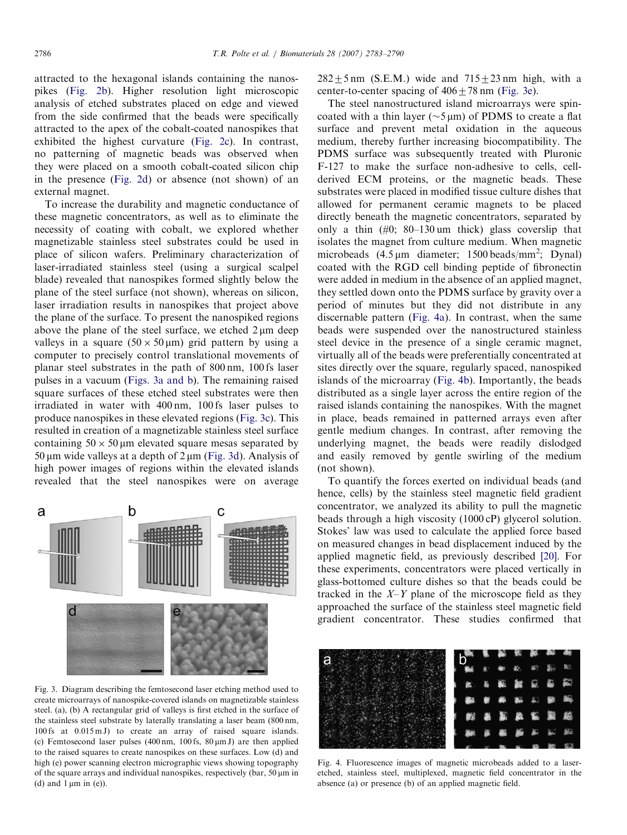attracted to the hexagonal islands containing the nanospikes [\(Fig. 2b](#page-2-0)). Higher resolution light microscopic analysis of etched substrates placed on edge and viewed from the side confirmed that the beads were specifically attracted to the apex of the cobalt-coated nanospikes that exhibited the highest curvature [\(Fig. 2c\)](#page-2-0). In contrast, no patterning of magnetic beads was observed when they were placed on a smooth cobalt-coated silicon chip in the presence [\(Fig. 2d\)](#page-2-0) or absence (not shown) of an external magnet.

To increase the durability and magnetic conductance of these magnetic concentrators, as well as to eliminate the necessity of coating with cobalt, we explored whether magnetizable stainless steel substrates could be used in place of silicon wafers. Preliminary characterization of laser-irradiated stainless steel (using a surgical scalpel blade) revealed that nanospikes formed slightly below the plane of the steel surface (not shown), whereas on silicon, laser irradiation results in nanospikes that project above the plane of the surface. To present the nanospiked regions above the plane of the steel surface, we etched  $2 \mu m$  deep valleys in a square  $(50 \times 50 \,\mu\text{m})$  grid pattern by using a computer to precisely control translational movements of planar steel substrates in the path of 800 nm, 100 fs laser pulses in a vacuum (Figs. 3a and b). The remaining raised square surfaces of these etched steel substrates were then irradiated in water with 400 nm, 100 fs laser pulses to produce nanospikes in these elevated regions (Fig. 3c). This resulted in creation of a magnetizable stainless steel surface containing  $50 \times 50 \mu m$  elevated square mesas separated by  $50 \mu m$  wide valleys at a depth of  $2 \mu m$  (Fig. 3d). Analysis of high power images of regions within the elevated islands revealed that the steel nanospikes were on average



Fig. 3. Diagram describing the femtosecond laser etching method used to create microarrays of nanospike-covered islands on magnetizable stainless steel. (a), (b) A rectangular grid of valleys is first etched in the surface of the stainless steel substrate by laterally translating a laser beam (800 nm, 100 fs at 0.015 m J) to create an array of raised square islands. (c) Femtosecond laser pulses  $(400 \text{ nm}, 100 \text{ fs}, 80 \text{ µm J})$  are then applied to the raised squares to create nanospikes on these surfaces. Low (d) and high (e) power scanning electron micrographic views showing topography of the square arrays and individual nanospikes, respectively (bar, 50 mm in (d) and  $1 \mu m$  in (e)).

 $282 \pm 5$  nm (S.E.M.) wide and  $715 \pm 23$  nm high, with a center-to-center spacing of  $406+78$  nm (Fig. 3e).

The steel nanostructured island microarrays were spincoated with a thin layer ( $\sim$ 5 µm) of PDMS to create a flat surface and prevent metal oxidation in the aqueous medium, thereby further increasing biocompatibility. The PDMS surface was subsequently treated with Pluronic F-127 to make the surface non-adhesive to cells, cellderived ECM proteins, or the magnetic beads. These substrates were placed in modified tissue culture dishes that allowed for permanent ceramic magnets to be placed directly beneath the magnetic concentrators, separated by only a thin  $(\#0; 80-130 \text{ um thick})$  glass coverslip that isolates the magnet from culture medium. When magnetic microbeads (4.5 µm diameter; 1500 beads/mm<sup>2</sup>; Dynal) coated with the RGD cell binding peptide of fibronectin were added in medium in the absence of an applied magnet, they settled down onto the PDMS surface by gravity over a period of minutes but they did not distribute in any discernable pattern (Fig. 4a). In contrast, when the same beads were suspended over the nanostructured stainless steel device in the presence of a single ceramic magnet, virtually all of the beads were preferentially concentrated at sites directly over the square, regularly spaced, nanospiked islands of the microarray (Fig. 4b). Importantly, the beads distributed as a single layer across the entire region of the raised islands containing the nanospikes. With the magnet in place, beads remained in patterned arrays even after gentle medium changes. In contrast, after removing the underlying magnet, the beads were readily dislodged and easily removed by gentle swirling of the medium (not shown).

To quantify the forces exerted on individual beads (and hence, cells) by the stainless steel magnetic field gradient concentrator, we analyzed its ability to pull the magnetic beads through a high viscosity (1000 cP) glycerol solution. Stokes' law was used to calculate the applied force based on measured changes in bead displacement induced by the applied magnetic field, as previously described [\[20\]](#page-7-0). For these experiments, concentrators were placed vertically in glass-bottomed culture dishes so that the beads could be tracked in the  $X-Y$  plane of the microscope field as they approached the surface of the stainless steel magnetic field gradient concentrator. These studies confirmed that



Fig. 4. Fluorescence images of magnetic microbeads added to a laseretched, stainless steel, multiplexed, magnetic field concentrator in the absence (a) or presence (b) of an applied magnetic field.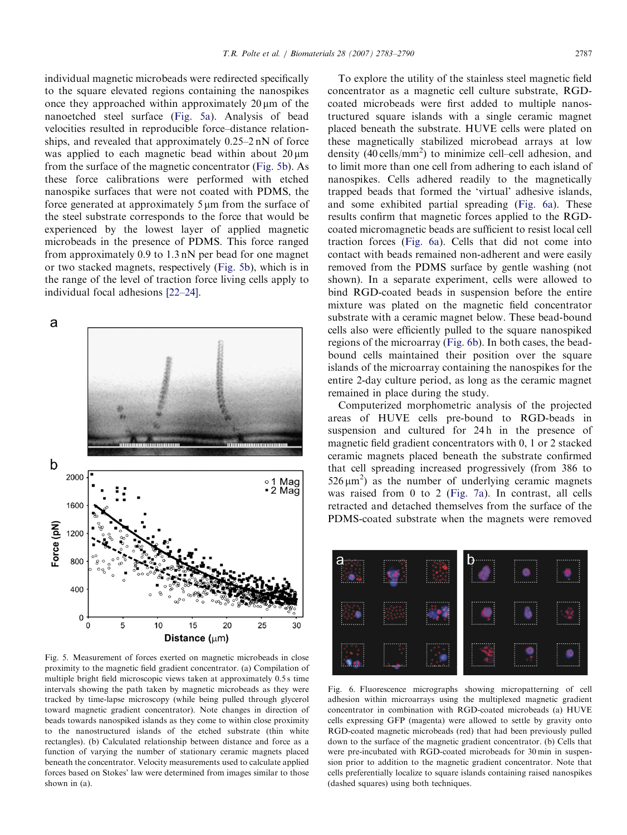individual magnetic microbeads were redirected specifically to the square elevated regions containing the nanospikes once they approached within approximately  $20 \mu m$  of the nanoetched steel surface (Fig. 5a). Analysis of bead velocities resulted in reproducible force–distance relationships, and revealed that approximately 0.25–2 nN of force was applied to each magnetic bead within about  $20 \mu m$ from the surface of the magnetic concentrator (Fig. 5b). As these force calibrations were performed with etched nanospike surfaces that were not coated with PDMS, the force generated at approximately  $5 \mu m$  from the surface of the steel substrate corresponds to the force that would be experienced by the lowest layer of applied magnetic microbeads in the presence of PDMS. This force ranged from approximately 0.9 to 1.3 nN per bead for one magnet or two stacked magnets, respectively (Fig. 5b), which is in the range of the level of traction force living cells apply to individual focal adhesions [\[22–24\]](#page-7-0).



Fig. 5. Measurement of forces exerted on magnetic microbeads in close proximity to the magnetic field gradient concentrator. (a) Compilation of multiple bright field microscopic views taken at approximately 0.5 s time intervals showing the path taken by magnetic microbeads as they were tracked by time-lapse microscopy (while being pulled through glycerol toward magnetic gradient concentrator). Note changes in direction of beads towards nanospiked islands as they come to within close proximity to the nanostructured islands of the etched substrate (thin white rectangles). (b) Calculated relationship between distance and force as a function of varying the number of stationary ceramic magnets placed beneath the concentrator. Velocity measurements used to calculate applied forces based on Stokes' law were determined from images similar to those shown in (a).

To explore the utility of the stainless steel magnetic field concentrator as a magnetic cell culture substrate, RGDcoated microbeads were first added to multiple nanostructured square islands with a single ceramic magnet placed beneath the substrate. HUVE cells were plated on these magnetically stabilized microbead arrays at low density  $(40 \text{ cells/mm}^2)$  to minimize cell–cell adhesion, and to limit more than one cell from adhering to each island of nanospikes. Cells adhered readily to the magnetically trapped beads that formed the 'virtual' adhesive islands, and some exhibited partial spreading (Fig. 6a). These results confirm that magnetic forces applied to the RGDcoated micromagnetic beads are sufficient to resist local cell traction forces (Fig. 6a). Cells that did not come into contact with beads remained non-adherent and were easily removed from the PDMS surface by gentle washing (not shown). In a separate experiment, cells were allowed to bind RGD-coated beads in suspension before the entire mixture was plated on the magnetic field concentrator substrate with a ceramic magnet below. These bead-bound cells also were efficiently pulled to the square nanospiked regions of the microarray (Fig. 6b). In both cases, the beadbound cells maintained their position over the square islands of the microarray containing the nanospikes for the entire 2-day culture period, as long as the ceramic magnet remained in place during the study.

Computerized morphometric analysis of the projected areas of HUVE cells pre-bound to RGD-beads in suspension and cultured for 24h in the presence of magnetic field gradient concentrators with 0, 1 or 2 stacked ceramic magnets placed beneath the substrate confirmed that cell spreading increased progressively (from 386 to  $526 \,\mu m^2$ ) as the number of underlying ceramic magnets was raised from 0 to 2 ([Fig. 7a](#page-5-0)). In contrast, all cells retracted and detached themselves from the surface of the PDMS-coated substrate when the magnets were removed



Fig. 6. Fluorescence micrographs showing micropatterning of cell adhesion within microarrays using the multiplexed magnetic gradient concentrator in combination with RGD-coated microbeads (a) HUVE cells expressing GFP (magenta) were allowed to settle by gravity onto RGD-coated magnetic microbeads (red) that had been previously pulled down to the surface of the magnetic gradient concentrator. (b) Cells that were pre-incubated with RGD-coated microbeads for 30 min in suspension prior to addition to the magnetic gradient concentrator. Note that cells preferentially localize to square islands containing raised nanospikes (dashed squares) using both techniques.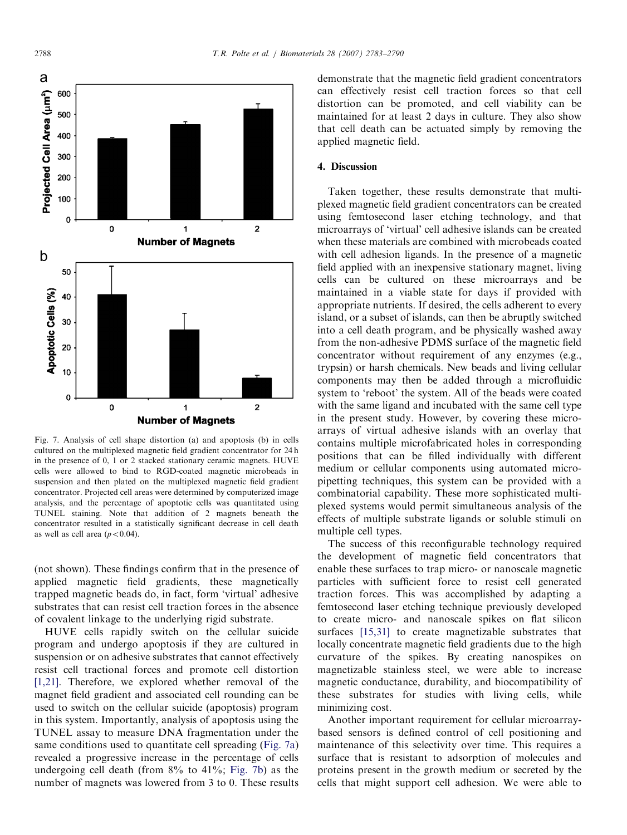<span id="page-5-0"></span>

Fig. 7. Analysis of cell shape distortion (a) and apoptosis (b) in cells cultured on the multiplexed magnetic field gradient concentrator for 24 h in the presence of 0, 1 or 2 stacked stationary ceramic magnets. HUVE cells were allowed to bind to RGD-coated magnetic microbeads in suspension and then plated on the multiplexed magnetic field gradient concentrator. Projected cell areas were determined by computerized image analysis, and the percentage of apoptotic cells was quantitated using TUNEL staining. Note that addition of 2 magnets beneath the concentrator resulted in a statistically significant decrease in cell death as well as cell area  $(p<0.04)$ .

(not shown). These findings confirm that in the presence of applied magnetic field gradients, these magnetically trapped magnetic beads do, in fact, form 'virtual' adhesive substrates that can resist cell traction forces in the absence of covalent linkage to the underlying rigid substrate.

HUVE cells rapidly switch on the cellular suicide program and undergo apoptosis if they are cultured in suspension or on adhesive substrates that cannot effectively resist cell tractional forces and promote cell distortion [\[1,21\].](#page-6-0) Therefore, we explored whether removal of the magnet field gradient and associated cell rounding can be used to switch on the cellular suicide (apoptosis) program in this system. Importantly, analysis of apoptosis using the TUNEL assay to measure DNA fragmentation under the same conditions used to quantitate cell spreading (Fig. 7a) revealed a progressive increase in the percentage of cells undergoing cell death (from  $8\%$  to  $41\%$ ; Fig. 7b) as the number of magnets was lowered from 3 to 0. These results demonstrate that the magnetic field gradient concentrators can effectively resist cell traction forces so that cell distortion can be promoted, and cell viability can be maintained for at least 2 days in culture. They also show that cell death can be actuated simply by removing the applied magnetic field.

#### 4. Discussion

Taken together, these results demonstrate that multiplexed magnetic field gradient concentrators can be created using femtosecond laser etching technology, and that microarrays of 'virtual' cell adhesive islands can be created when these materials are combined with microbeads coated with cell adhesion ligands. In the presence of a magnetic field applied with an inexpensive stationary magnet, living cells can be cultured on these microarrays and be maintained in a viable state for days if provided with appropriate nutrients. If desired, the cells adherent to every island, or a subset of islands, can then be abruptly switched into a cell death program, and be physically washed away from the non-adhesive PDMS surface of the magnetic field concentrator without requirement of any enzymes (e.g., trypsin) or harsh chemicals. New beads and living cellular components may then be added through a microfluidic system to 'reboot' the system. All of the beads were coated with the same ligand and incubated with the same cell type in the present study. However, by covering these microarrays of virtual adhesive islands with an overlay that contains multiple microfabricated holes in corresponding positions that can be filled individually with different medium or cellular components using automated micropipetting techniques, this system can be provided with a combinatorial capability. These more sophisticated multiplexed systems would permit simultaneous analysis of the effects of multiple substrate ligands or soluble stimuli on multiple cell types.

The success of this reconfigurable technology required the development of magnetic field concentrators that enable these surfaces to trap micro- or nanoscale magnetic particles with sufficient force to resist cell generated traction forces. This was accomplished by adapting a femtosecond laser etching technique previously developed to create micro- and nanoscale spikes on flat silicon surfaces [\[15,31\]](#page-7-0) to create magnetizable substrates that locally concentrate magnetic field gradients due to the high curvature of the spikes. By creating nanospikes on magnetizable stainless steel, we were able to increase magnetic conductance, durability, and biocompatibility of these substrates for studies with living cells, while minimizing cost.

Another important requirement for cellular microarraybased sensors is defined control of cell positioning and maintenance of this selectivity over time. This requires a surface that is resistant to adsorption of molecules and proteins present in the growth medium or secreted by the cells that might support cell adhesion. We were able to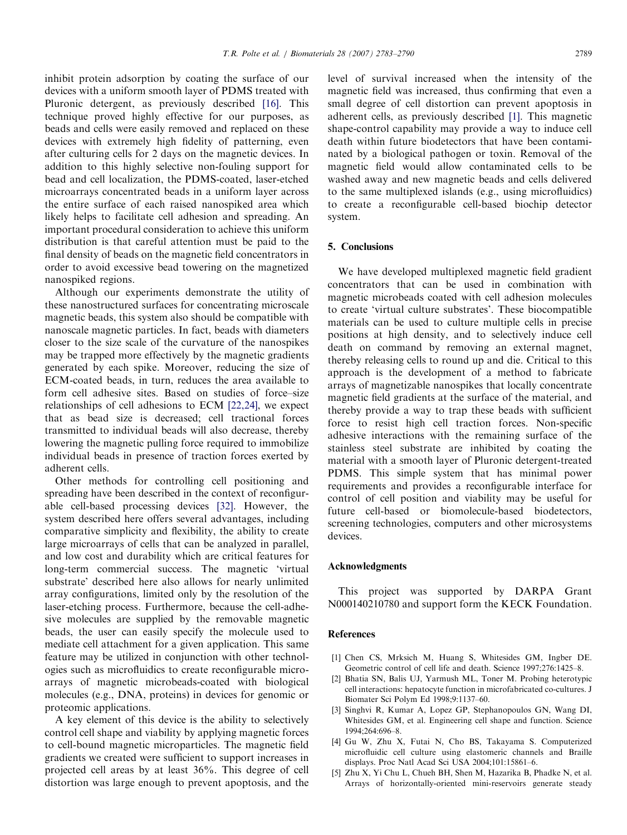<span id="page-6-0"></span>inhibit protein adsorption by coating the surface of our devices with a uniform smooth layer of PDMS treated with Pluronic detergent, as previously described [\[16\].](#page-7-0) This technique proved highly effective for our purposes, as beads and cells were easily removed and replaced on these devices with extremely high fidelity of patterning, even after culturing cells for 2 days on the magnetic devices. In addition to this highly selective non-fouling support for bead and cell localization, the PDMS-coated, laser-etched microarrays concentrated beads in a uniform layer across the entire surface of each raised nanospiked area which likely helps to facilitate cell adhesion and spreading. An important procedural consideration to achieve this uniform distribution is that careful attention must be paid to the final density of beads on the magnetic field concentrators in order to avoid excessive bead towering on the magnetized nanospiked regions.

Although our experiments demonstrate the utility of these nanostructured surfaces for concentrating microscale magnetic beads, this system also should be compatible with nanoscale magnetic particles. In fact, beads with diameters closer to the size scale of the curvature of the nanospikes may be trapped more effectively by the magnetic gradients generated by each spike. Moreover, reducing the size of ECM-coated beads, in turn, reduces the area available to form cell adhesive sites. Based on studies of force–size relationships of cell adhesions to ECM [\[22,24\],](#page-7-0) we expect that as bead size is decreased; cell tractional forces transmitted to individual beads will also decrease, thereby lowering the magnetic pulling force required to immobilize individual beads in presence of traction forces exerted by adherent cells.

Other methods for controlling cell positioning and spreading have been described in the context of reconfigurable cell-based processing devices [\[32\].](#page-7-0) However, the system described here offers several advantages, including comparative simplicity and flexibility, the ability to create large microarrays of cells that can be analyzed in parallel, and low cost and durability which are critical features for long-term commercial success. The magnetic 'virtual substrate' described here also allows for nearly unlimited array configurations, limited only by the resolution of the laser-etching process. Furthermore, because the cell-adhesive molecules are supplied by the removable magnetic beads, the user can easily specify the molecule used to mediate cell attachment for a given application. This same feature may be utilized in conjunction with other technologies such as microfluidics to create reconfigurable microarrays of magnetic microbeads-coated with biological molecules (e.g., DNA, proteins) in devices for genomic or proteomic applications.

A key element of this device is the ability to selectively control cell shape and viability by applying magnetic forces to cell-bound magnetic microparticles. The magnetic field gradients we created were sufficient to support increases in projected cell areas by at least 36%. This degree of cell distortion was large enough to prevent apoptosis, and the level of survival increased when the intensity of the magnetic field was increased, thus confirming that even a small degree of cell distortion can prevent apoptosis in adherent cells, as previously described [1]. This magnetic shape-control capability may provide a way to induce cell death within future biodetectors that have been contaminated by a biological pathogen or toxin. Removal of the magnetic field would allow contaminated cells to be washed away and new magnetic beads and cells delivered to the same multiplexed islands (e.g., using microfluidics) to create a reconfigurable cell-based biochip detector system.

## 5. Conclusions

We have developed multiplexed magnetic field gradient concentrators that can be used in combination with magnetic microbeads coated with cell adhesion molecules to create 'virtual culture substrates'. These biocompatible materials can be used to culture multiple cells in precise positions at high density, and to selectively induce cell death on command by removing an external magnet, thereby releasing cells to round up and die. Critical to this approach is the development of a method to fabricate arrays of magnetizable nanospikes that locally concentrate magnetic field gradients at the surface of the material, and thereby provide a way to trap these beads with sufficient force to resist high cell traction forces. Non-specific adhesive interactions with the remaining surface of the stainless steel substrate are inhibited by coating the material with a smooth layer of Pluronic detergent-treated PDMS. This simple system that has minimal power requirements and provides a reconfigurable interface for control of cell position and viability may be useful for future cell-based or biomolecule-based biodetectors, screening technologies, computers and other microsystems devices.

### Acknowledgments

This project was supported by DARPA Grant N000140210780 and support form the KECK Foundation.

#### References

- [1] Chen CS, Mrksich M, Huang S, Whitesides GM, Ingber DE. Geometric control of cell life and death. Science 1997;276:1425–8.
- [2] Bhatia SN, Balis UJ, Yarmush ML, Toner M. Probing heterotypic cell interactions: hepatocyte function in microfabricated co-cultures. J Biomater Sci Polym Ed 1998;9:1137–60.
- [3] Singhvi R, Kumar A, Lopez GP, Stephanopoulos GN, Wang DI, Whitesides GM, et al. Engineering cell shape and function. Science 1994;264:696–8.
- [4] Gu W, Zhu X, Futai N, Cho BS, Takayama S. Computerized microfluidic cell culture using elastomeric channels and Braille displays. Proc Natl Acad Sci USA 2004;101:15861–6.
- [5] Zhu X, Yi Chu L, Chueh BH, Shen M, Hazarika B, Phadke N, et al. Arrays of horizontally-oriented mini-reservoirs generate steady